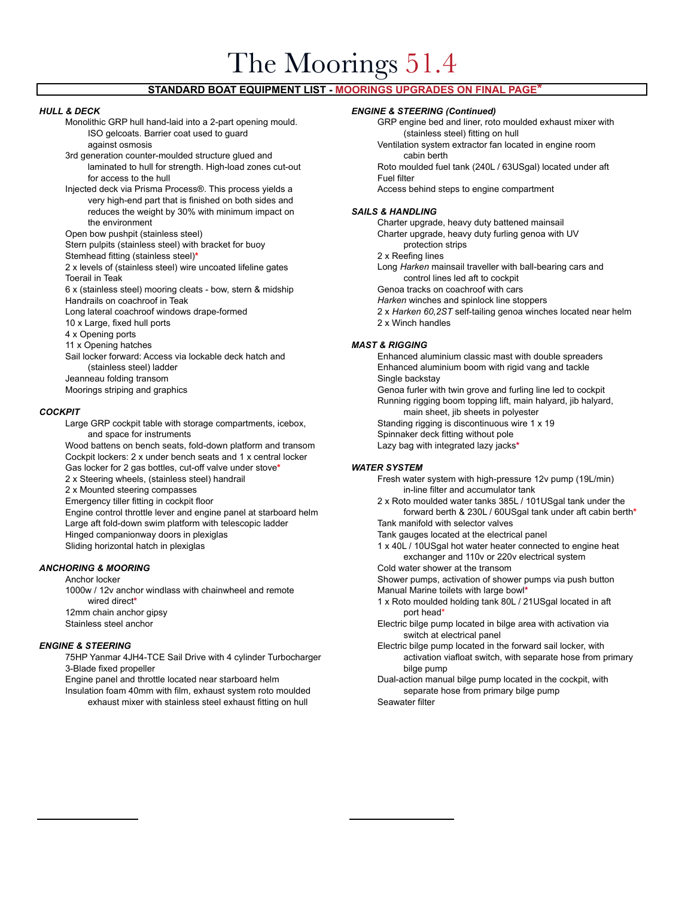# The Moorings 51.4

# **STANDARD BOAT EQUIPMENT LIST - MOORINGS UPGRADES ON FINAL PAGE\***

- ISO gelcoats. Barrier coat used to guard (stainless steel) fitting on hull
- 3rd generation counter-moulded structure glued and cabin berth laminated to hull for strength. High-load zones cut-out Roto moulded fuel tank (240L / 63USgal) located under aft for access to the hull **Fuel filter Fuel filter**
- Injected deck via Prisma Process®. This process yields a Access behind steps to engine compartment very high-end part that is finished on both sides and reduces the weight by 30% with minimum impact on *SAILS & HANDLING* the environment **Charter upgrade, heavy duty battened mainsail** Charter upgrade, heavy duty battened mainsail
- 
- Stern pulpits (stainless steel) with bracket for buoy **protection** strips protection strips
- Stemhead fitting (stainless steel)<sup>\*</sup><br>2 x levels of (stainless steel) wire uncoated lifeline gates **2 2** x levels of (stainless steel) wire uncoated lifeline gates **1998** Long *Harken* mainsail traveller with ball-bearin 2 x levels of (stainless steel) wire uncoated lifeline gates
- 
- 6 x (stainless steel) mooring cleats bow, stern & midship Genoa tracks on coachroof with cars Handrails on coachroof in Teak *Harken* winches and spinlock line stoppers
- 
- 10 x Large, fixed hull ports 2 x Winch handles
- 4 x Opening ports
- 
- 11 x Opening hatches *MAST & RIGGING* Jeanneau folding transom **Single backstay** Single backstay
- 

Large GRP cockpit table with storage compartments, icebox, Standing rigging is discontinuous wire 1 x 19 and space for instruments and space for instruments spinnaker deck fitting without pole Wood battens on bench seats, fold-down platform and transom Lazy bag with integrated lazy jacks**\*** Cockpit lockers: 2 x under bench seats and 1 x central locker Gas locker for 2 gas bottles, cut-off valve under stove**\*** *WATER SYSTEM* 2 x Steering wheels, (stainless steel) handrail **Fresh water system with high-pressure 12v pump** (19L/min) 2 x Mounted steering compasses in-line filter and accumulator tank Emergency tiller fitting in cockpit floor **2** x Roto moulded water tanks 385L / 101USgal tank under the Large aft fold-down swim platform with telescopic ladder Tank manifold with selector valves Hinged companionway doors in plexiglas Tank gauges located at the electrical panel Sliding horizontal hatch in plexiglas 1 x 40L / 10USgal hot water heater connected to engine heat

1000w / 12v anchor windlass with chainwheel and remote Manual Marine toilets with large bowl<sup>\*</sup> 12mm chain anchor gipsy port head\* port head\* port head\* port head\*

3-Blade fixed propeller bilge pump bilge pump bilge pump bilge pump bilge pump bilge pump bilge pump bilge pump Engine panel and throttle located near starboard helm Dual-action manual bilge pump located in the cockpit, with Insulation foam 40mm with film, exhaust system roto moulded separate hose from primary bilge pump exhaust mixer with stainless steel exhaust fitting on hull Seawater filter

### *HULL & DECK ENGINE & STEERING (Continued)*

Monolithic GRP hull hand-laid into a 2-part opening mould. GRP engine bed and liner, roto moulded exhaust mixer with

against osmosis Ventilation system extractor fan located in engine room

Open bow pushpit (stainless steel) Charter upgrade, heavy duty furling genoa with UV

Toerail in Teak control lines led aft to cockpit

- 
- 
- Long lateral coachroof windows drape-formed 2 x *Harken 60,2ST* self-tailing genoa winches located near helm
	-

Enhanced aluminium classic mast with double spreaders (stainless steel) ladder Enhanced aluminium boom with rigid vang and tackle

Moorings striping and graphics Genoa furler with twin grove and furling line led to cockpit Running rigging boom topping lift, main halyard, jib halyard, **COCKPIT COCKPIT COCKPIT COCKPIT COCKPIT COCKPIT COCKPIT COCKPIT COCKPIT COCKPIT COCKPIT COCKPIT** 

- 
- 

- Engine control throttle lever and engine panel at starboard helm forward berth & 230L / 60USgal tank under aft cabin berth**\***
	-
	- exchanger and 110v or 220v electrical system
- **ANCHORING & MOORING COLD ANCHORICAL SECULAR COLD WATER** Cold water shower at the transom

Anchor locker Shower pumps, activation of shower pumps via push button of shower pumps via push button

- wired direct<sup>\*</sup> 1 x Roto moulded holding tank 80L / 21USgal located in aft
- Stainless steel anchor Electric bilge pump located in bilge area with activation via switch at electrical panel
- **ENGINE & STEERING** Electric bilge pump located in the forward sail locker, with 75HP Yanmar 4JH4-TCE Sail Drive with 4 cylinder Turbocharger and activation viafloat switch, with separate hose from primary
	-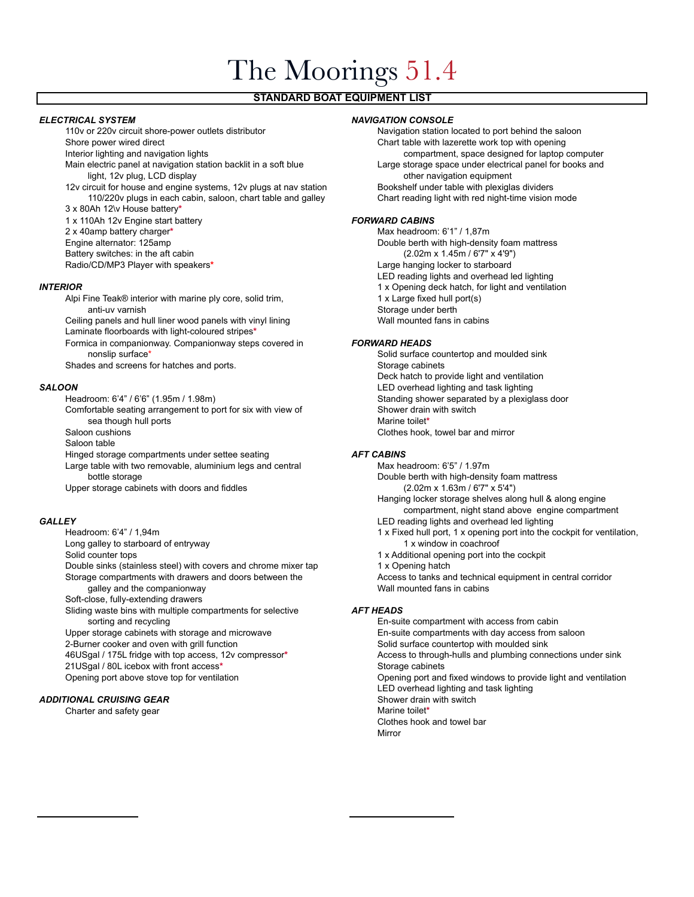# The Moorings 51.4

# **STANDARD BOAT EQUIPMENT LIST**

**ELECTRICAL SYSTEM**<br>110v or 220v circuit shore-power outlets distributor *NAVIGATION CONSOLE*<br>Navigation station lo

Main electric panel at navigation station backlit in a soft blue Large storage space under electrical panel for books and light, 12v plug, LCD display other navigation equipment

12v circuit for house and engine systems, 12v plugs at nav station Bookshelf under table with plexiglas dividers<br>110/220v plugs in each cabin, saloon, chart table and galley Chart reading light with red night-time vision m 110/220v plugs in each cabin, saloon, chart table and galley

3 x 80Ah 12\v House battery**\***

1 x 110Ah 12v Engine start battery *FORWARD CABINS*

2 x 40amp battery charger\*

Alpi Fine Teak® interior with marine ply core, solid trim, 1 x Large fixed hull port(s) anti-uv varnish<br>a panels and hull liner wood panels with vinyl lining and the Storage under berth Storage under berth Ceiling panels and hull liner wood panels with vinyl lining

Laminate floorboards with light-coloured stripes**\***

Formica in companionway. Companionway steps covered in *FORWARD HEADS* nonslip surface\* The surface of the state of the solid surface countertop and moulded sink

Shades and screens for hatches and ports. Shades and ports and ports in the storage cabinets

Comfortable seating arrangement to port for six with view of sea though hull ports **Marine to a sea though hull ports** Marine toilet<sup>\*</sup>

Saloon table

Hinged storage compartments under settee seating *AFT CABINS*

Large table with two removable, aluminium legs and central Max headroom: 6'5" / 1.97m

Upper storage cabinets with doors and fiddles

Long galley to starboard of entryway 1 x window in coachroof

Double sinks (stainless steel) with covers and chrome mixer tap 1 x Opening hatch Storage compartments with drawers and doors between the Access to tanks and technical equipment in central corridor galley and the companionway Wall mounted fans in cabins

Soft-close, fully-extending drawers

Sliding waste bins with multiple compartments for selective *AFT HEADS* sorting and recycling En-suite compartment with access from cabin

21USgal / 80L icebox with front access<sup>\*</sup> Storage cabinets

# **ADDITIONAL CRUISING GEAR** Shower drain with switch

Charter and safety gear **Marine to a set of the Charter and Safety gear** Marine toilet<sup>\*</sup>

Navigation station located to port behind the saloon Shore power wired direct **Chart table with lazerette work top with opening** 

Interior lighting and navigation lights compartment, space designed for laptop computer

Engine alternator: 125amp Double berth with high-density foam mattress Battery switches: in the aft cabin example of the state of the state of the cabin (2.02m x 1.45m / 6'7" x 4'9") Radio/CD/MP3 Player with speakers<sup>\*</sup> Large hanging locker to starboard LED reading lights and overhead led lighting **INTERIOR** 1 x Opening deck hatch, for light and ventilation

Deck hatch to provide light and ventilation **SALOON**<br>Headroom: 6'4" / 6'6" (1.95m / 1.98m) LED overhead lighting and task lighting<br>Standing shower separated by a plexigl Standing shower separated by a plexiglass door<br>Shower drain with switch Saloon cushions Clothes hook, towel bar and mirror

bottle storage<br>
r storage cabinets with doors and fiddles<br>
r storage cabinets with doors and fiddles<br>
(2.02m x 1.63m / 6'7" x 5'4") Hanging locker storage shelves along hull & along engine compartment, night stand above engine compartment **GALLEY LED reading lights and overhead led lighting** Headroom: 6'4" / 1,94m 1 x Fixed hull port, 1 x opening port into the cockpit for ventilation, Solid counter tops 1 x Additional opening port into the cockpit

Upper storage cabinets with storage and microwave En-suite compartments with day access from saloon 2-Burner cooker and oven with grill function Solid surface countertop with moulded sink 46USgal / 175L fridge with top access, 12v compressor**\*** Access to through-hulls and plumbing connections under sink Opening port above stove top for ventilation Opening port and fixed windows to provide light and ventilation LED overhead lighting and task lighting Clothes hook and towel bar Mirror